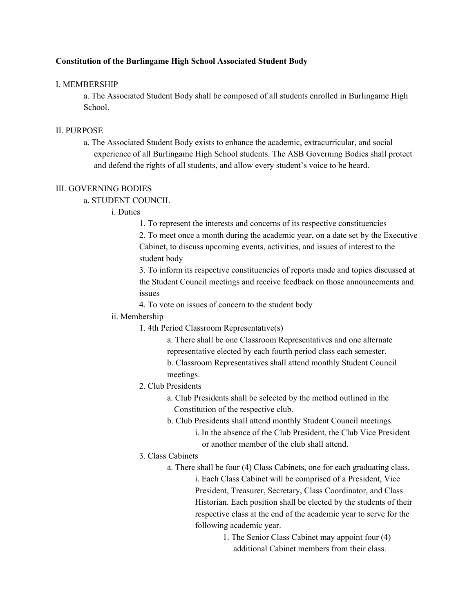## **Constitution of the Burlingame High School Associated Student Body**

#### I. MEMBERSHIP

a. The Associated Student Body shall be composed of all students enrolled in Burlingame High School.

#### II. PURPOSE

a. The Associated Student Body exists to enhance the academic, extracurricular, and social experience of all Burlingame High School students. The ASB Governing Bodies shall protect and defend the rights of all students, and allow every student's voice to be heard.

## III. GOVERNING BODIES

a. STUDENT COUNCIL

#### i. Duties

1. To represent the interests and concerns of its respective constituencies

2. To meet once a month during the academic year, on a date set by the Executive Cabinet, to discuss upcoming events, activities, and issues of interest to the student body

3. To inform its respective constituencies of reports made and topics discussed at the Student Council meetings and receive feedback on those announcements and issues

4. To vote on issues of concern to the student body

#### ii. Membership

1. 4th Period Classroom Representative(s)

a. There shall be one Classroom Representatives and one alternate representative elected by each fourth period class each semester.

b. Classroom Representatives shall attend monthly Student Council meetings.

- 2. Club Presidents
	- a. Club Presidents shall be selected by the method outlined in the Constitution of the respective club.
	- b. Club Presidents shall attend monthly Student Council meetings.
		- i. In the absence of the Club President, the Club Vice President or another member of the club shall attend.

### 3. Class Cabinets

- a. There shall be four (4) Class Cabinets, one for each graduating class. i. Each Class Cabinet will be comprised of a President, Vice President, Treasurer, Secretary, Class Coordinator, and Class Historian. Each position shall be elected by the students of their respective class at the end of the academic year to serve for the following academic year.
	- 1. The Senior Class Cabinet may appoint four (4) additional Cabinet members from their class.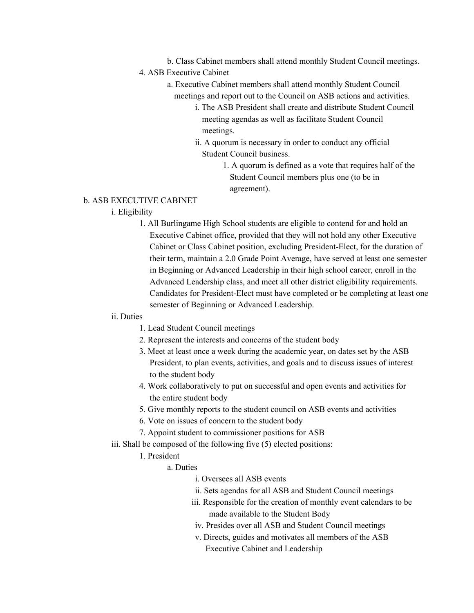- b. Class Cabinet members shall attend monthly Student Council meetings.
- 4. ASB Executive Cabinet
	- a. Executive Cabinet members shall attend monthly Student Council meetings and report out to the Council on ASB actions and activities.
		- i. The ASB President shall create and distribute Student Council meeting agendas as well as facilitate Student Council meetings.
		- ii. A quorum is necessary in order to conduct any official Student Council business.
			- 1. A quorum is defined as a vote that requires half of the Student Council members plus one (to be in agreement).

## b. ASB EXECUTIVE CABINET

# i. Eligibility

1. All Burlingame High School students are eligible to contend for and hold an Executive Cabinet office, provided that they will not hold any other Executive Cabinet or Class Cabinet position, excluding President-Elect, for the duration of their term, maintain a 2.0 Grade Point Average, have served at least one semester in Beginning or Advanced Leadership in their high school career, enroll in the Advanced Leadership class, and meet all other district eligibility requirements. Candidates for President-Elect must have completed or be completing at least one semester of Beginning or Advanced Leadership.

## ii. Duties

- 1. Lead Student Council meetings
- 2. Represent the interests and concerns of the student body
- 3. Meet at least once a week during the academic year, on dates set by the ASB President, to plan events, activities, and goals and to discuss issues of interest to the student body
- 4. Work collaboratively to put on successful and open events and activities for the entire student body
- 5. Give monthly reports to the student council on ASB events and activities
- 6. Vote on issues of concern to the student body
- 7. Appoint student to commissioner positions for ASB
- iii. Shall be composed of the following five (5) elected positions:
	- 1. President
		- a. Duties
			- i. Oversees all ASB events
			- ii. Sets agendas for all ASB and Student Council meetings
			- iii. Responsible for the creation of monthly event calendars to be made available to the Student Body
			- iv. Presides over all ASB and Student Council meetings
			- v. Directs, guides and motivates all members of the ASB Executive Cabinet and Leadership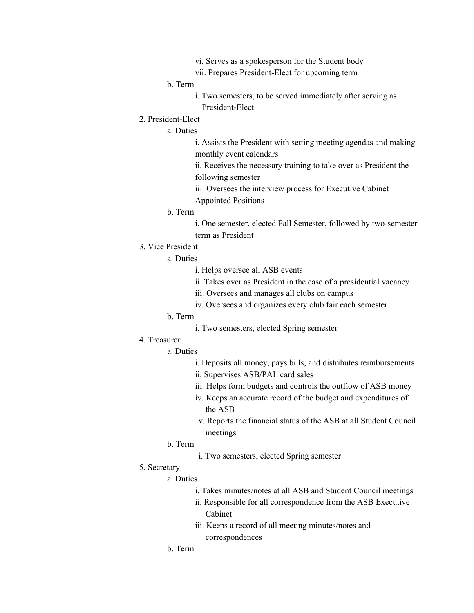- vi. Serves as a spokesperson for the Student body
- vii. Prepares President-Elect for upcoming term

#### b. Term

- i. Two semesters, to be served immediately after serving as President-Elect.
- 2. President-Elect

# a. Duties

i. Assists the President with setting meeting agendas and making monthly event calendars

ii. Receives the necessary training to take over as President the following semester

iii. Oversees the interview process for Executive Cabinet Appointed Positions

#### b. Term

i. One semester, elected Fall Semester, followed by two-semester term as President

3. Vice President

### a. Duties

- i. Helps oversee all ASB events
- ii. Takes over as President in the case of a presidential vacancy
- iii. Oversees and manages all clubs on campus
- iv. Oversees and organizes every club fair each semester

# b. Term

- i. Two semesters, elected Spring semester
- 4. Treasurer

### a. Duties

- i. Deposits all money, pays bills, and distributes reimbursements
- ii. Supervises ASB/PAL card sales
- iii. Helps form budgets and controls the outflow of ASB money
- iv. Keeps an accurate record of the budget and expenditures of the ASB
- v. Reports the financial status of the ASB at all Student Council meetings
- b. Term
	- i. Two semesters, elected Spring semester
- 5. Secretary

#### a. Duties

- i. Takes minutes/notes at all ASB and Student Council meetings
- ii. Responsible for all correspondence from the ASB Executive Cabinet
- iii. Keeps a record of all meeting minutes/notes and correspondences
- b. Term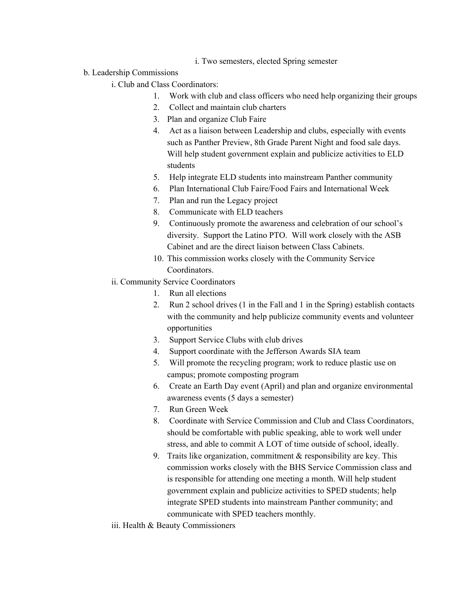- i. Two semesters, elected Spring semester
- b. Leadership Commissions
	- i. Club and Class Coordinators:
		- 1. Work with club and class officers who need help organizing their groups
		- 2. Collect and maintain club charters
		- 3. Plan and organize Club Faire
		- 4. Act as a liaison between Leadership and clubs, especially with events such as Panther Preview, 8th Grade Parent Night and food sale days. Will help student government explain and publicize activities to ELD students
		- 5. Help integrate ELD students into mainstream Panther community
		- 6. Plan International Club Faire/Food Fairs and International Week
		- 7. Plan and run the Legacy project
		- 8. Communicate with ELD teachers
		- 9. Continuously promote the awareness and celebration of our school's diversity. Support the Latino PTO. Will work closely with the ASB Cabinet and are the direct liaison between Class Cabinets.
		- 10. This commission works closely with the Community Service Coordinators.
	- ii. Community Service Coordinators
		- 1. Run all elections
		- 2. Run 2 school drives (1 in the Fall and 1 in the Spring) establish contacts with the community and help publicize community events and volunteer opportunities
		- 3. Support Service Clubs with club drives
		- 4. Support coordinate with the Jefferson Awards SIA team
		- 5. Will promote the recycling program; work to reduce plastic use on campus; promote composting program
		- 6. Create an Earth Day event (April) and plan and organize environmental awareness events (5 days a semester)
		- 7. Run Green Week
		- 8. Coordinate with Service Commission and Club and Class Coordinators, should be comfortable with public speaking, able to work well under stress, and able to commit A LOT of time outside of school, ideally.
		- 9. Traits like organization, commitment  $&$  responsibility are key. This commission works closely with the BHS Service Commission class and is responsible for attending one meeting a month. Will help student government explain and publicize activities to SPED students; help integrate SPED students into mainstream Panther community; and communicate with SPED teachers monthly.
	- iii. Health & Beauty Commissioners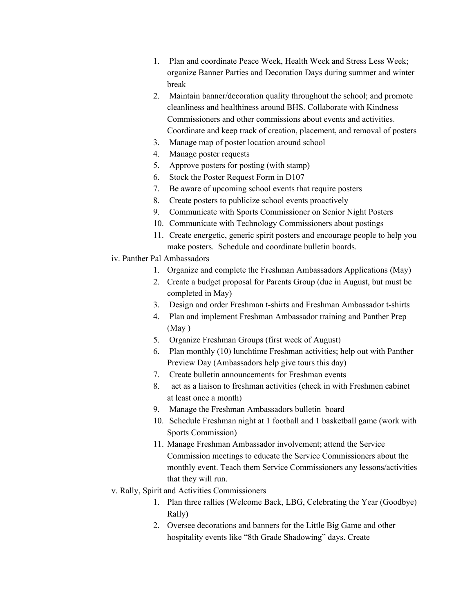- 1. Plan and coordinate Peace Week, Health Week and Stress Less Week; organize Banner Parties and Decoration Days during summer and winter break
- 2. Maintain banner/decoration quality throughout the school; and promote cleanliness and healthiness around BHS. Collaborate with Kindness Commissioners and other commissions about events and activities. Coordinate and keep track of creation, placement, and removal of posters
- 3. Manage map of poster location around school
- 4. Manage poster requests
- 5. Approve posters for posting (with stamp)
- 6. Stock the Poster Request Form in D107
- 7. Be aware of upcoming school events that require posters
- 8. Create posters to publicize school events proactively
- 9. Communicate with Sports Commissioner on Senior Night Posters
- 10. Communicate with Technology Commissioners about postings
- 11. Create energetic, generic spirit posters and encourage people to help you make posters. Schedule and coordinate bulletin boards.
- iv. Panther Pal Ambassadors
	- 1. Organize and complete the Freshman Ambassadors Applications (May)
	- 2. Create a budget proposal for Parents Group (due in August, but must be completed in May)
	- 3. Design and order Freshman t-shirts and Freshman Ambassador t-shirts
	- 4. Plan and implement Freshman Ambassador training and Panther Prep (May )
	- 5. Organize Freshman Groups (first week of August)
	- 6. Plan monthly (10) lunchtime Freshman activities; help out with Panther Preview Day (Ambassadors help give tours this day)
	- 7. Create bulletin announcements for Freshman events
	- 8. act as a liaison to freshman activities (check in with Freshmen cabinet at least once a month)
	- 9. Manage the Freshman Ambassadors bulletin board
	- 10. Schedule Freshman night at 1 football and 1 basketball game (work with Sports Commission)
	- 11. Manage Freshman Ambassador involvement; attend the Service Commission meetings to educate the Service Commissioners about the monthly event. Teach them Service Commissioners any lessons/activities that they will run.
- v. Rally, Spirit and Activities Commissioners
	- 1. Plan three rallies (Welcome Back, LBG, Celebrating the Year (Goodbye) Rally)
	- 2. Oversee decorations and banners for the Little Big Game and other hospitality events like "8th Grade Shadowing" days. Create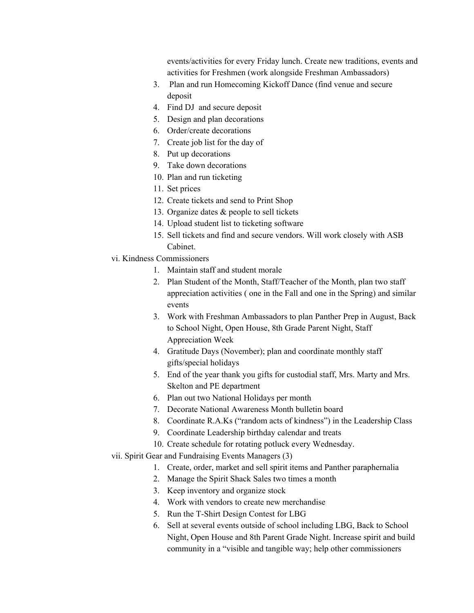events/activities for every Friday lunch. Create new traditions, events and activities for Freshmen (work alongside Freshman Ambassadors)

- 3. Plan and run Homecoming Kickoff Dance (find venue and secure deposit
- 4. Find DJ and secure deposit
- 5. Design and plan decorations
- 6. Order/create decorations
- 7. Create job list for the day of
- 8. Put up decorations
- 9. Take down decorations
- 10. Plan and run ticketing
- 11. Set prices
- 12. Create tickets and send to Print Shop
- 13. Organize dates & people to sell tickets
- 14. Upload student list to ticketing software
- 15. Sell tickets and find and secure vendors. Will work closely with ASB Cabinet.
- vi. Kindness Commissioners
	- 1. Maintain staff and student morale
	- 2. Plan Student of the Month, Staff/Teacher of the Month, plan two staff appreciation activities ( one in the Fall and one in the Spring) and similar events
	- 3. Work with Freshman Ambassadors to plan Panther Prep in August, Back to School Night, Open House, 8th Grade Parent Night, Staff Appreciation Week
	- 4. Gratitude Days (November); plan and coordinate monthly staff gifts/special holidays
	- 5. End of the year thank you gifts for custodial staff, Mrs. Marty and Mrs. Skelton and PE department
	- 6. Plan out two National Holidays per month
	- 7. Decorate National Awareness Month bulletin board
	- 8. Coordinate R.A.Ks ("random acts of kindness") in the Leadership Class
	- 9. Coordinate Leadership birthday calendar and treats
	- 10. Create schedule for rotating potluck every Wednesday.
- vii. Spirit Gear and Fundraising Events Managers (3)
	- 1. Create, order, market and sell spirit items and Panther paraphernalia
	- 2. Manage the Spirit Shack Sales two times a month
	- 3. Keep inventory and organize stock
	- 4. Work with vendors to create new merchandise
	- 5. Run the T-Shirt Design Contest for LBG
	- 6. Sell at several events outside of school including LBG, Back to School Night, Open House and 8th Parent Grade Night. Increase spirit and build community in a "visible and tangible way; help other commissioners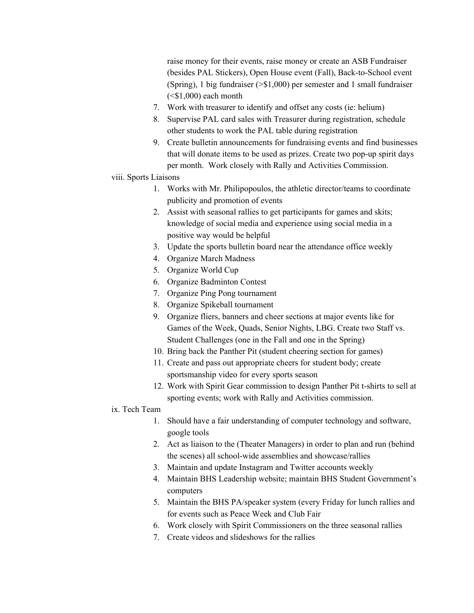raise money for their events, raise money or create an ASB Fundraiser (besides PAL Stickers), Open House event (Fall), Back-to-School event (Spring), 1 big fundraiser (>\$1,000) per semester and 1 small fundraiser  $( $$1,000$ ) each month$ 

- 7. Work with treasurer to identify and offset any costs (ie: helium)
- 8. Supervise PAL card sales with Treasurer during registration, schedule other students to work the PAL table during registration
- 9. Create bulletin announcements for fundraising events and find businesses that will donate items to be used as prizes. Create two pop-up spirit days per month. Work closely with Rally and Activities Commission.
- viii. Sports Liaisons
	- 1. Works with Mr. Philipopoulos, the athletic director/teams to coordinate publicity and promotion of events
	- 2. Assist with seasonal rallies to get participants for games and skits; knowledge of social media and experience using social media in a positive way would be helpful
	- 3. Update the sports bulletin board near the attendance office weekly
	- 4. Organize March Madness
	- 5. Organize World Cup
	- 6. Organize Badminton Contest
	- 7. Organize Ping Pong tournament
	- 8. Organize Spikeball tournament
	- 9. Organize fliers, banners and cheer sections at major events like for Games of the Week, Quads, Senior Nights, LBG. Create two Staff vs. Student Challenges (one in the Fall and one in the Spring)
	- 10. Bring back the Panther Pit (student cheering section for games)
	- 11. Create and pass out appropriate cheers for student body; create sportsmanship video for every sports season
	- 12. Work with Spirit Gear commission to design Panther Pit t-shirts to sell at sporting events; work with Rally and Activities commission.

## ix. Tech Team

- 1. Should have a fair understanding of computer technology and software, google tools
- 2. Act as liaison to the (Theater Managers) in order to plan and run (behind the scenes) all school-wide assemblies and showcase/rallies
- 3. Maintain and update Instagram and Twitter accounts weekly
- 4. Maintain BHS Leadership website; maintain BHS Student Government's computers
- 5. Maintain the BHS PA/speaker system (every Friday for lunch rallies and for events such as Peace Week and Club Fair
- 6. Work closely with Spirit Commissioners on the three seasonal rallies
- 7. Create videos and slideshows for the rallies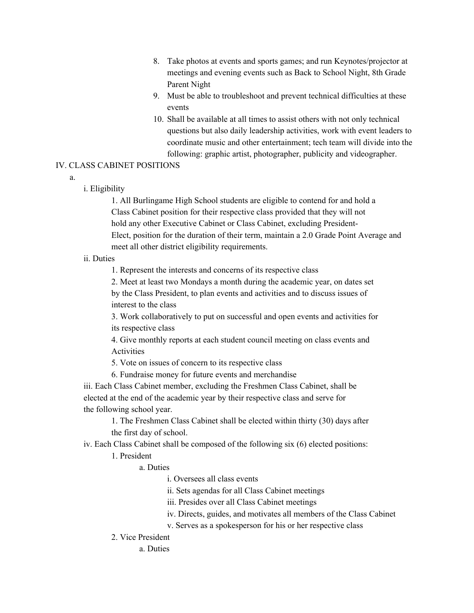- 8. Take photos at events and sports games; and run Keynotes/projector at meetings and evening events such as Back to School Night, 8th Grade Parent Night
- 9. Must be able to troubleshoot and prevent technical difficulties at these events
- 10. Shall be available at all times to assist others with not only technical questions but also daily leadership activities, work with event leaders to coordinate music and other entertainment; tech team will divide into the following: graphic artist, photographer, publicity and videographer.

## IV. CLASS CABINET POSITIONS

a.

## i. Eligibility

1. All Burlingame High School students are eligible to contend for and hold a Class Cabinet position for their respective class provided that they will not hold any other Executive Cabinet or Class Cabinet, excluding President-Elect, position for the duration of their term, maintain a 2.0 Grade Point Average and meet all other district eligibility requirements.

## ii. Duties

1. Represent the interests and concerns of its respective class

2. Meet at least two Mondays a month during the academic year, on dates set by the Class President, to plan events and activities and to discuss issues of interest to the class

3. Work collaboratively to put on successful and open events and activities for its respective class

4. Give monthly reports at each student council meeting on class events and Activities

5. Vote on issues of concern to its respective class

6. Fundraise money for future events and merchandise

iii. Each Class Cabinet member, excluding the Freshmen Class Cabinet, shall be elected at the end of the academic year by their respective class and serve for the following school year.

1. The Freshmen Class Cabinet shall be elected within thirty (30) days after the first day of school.

iv. Each Class Cabinet shall be composed of the following six (6) elected positions:

# 1. President

# a. Duties

i. Oversees all class events

ii. Sets agendas for all Class Cabinet meetings

iii. Presides over all Class Cabinet meetings

- iv. Directs, guides, and motivates all members of the Class Cabinet
- v. Serves as a spokesperson for his or her respective class
- 2. Vice President

a. Duties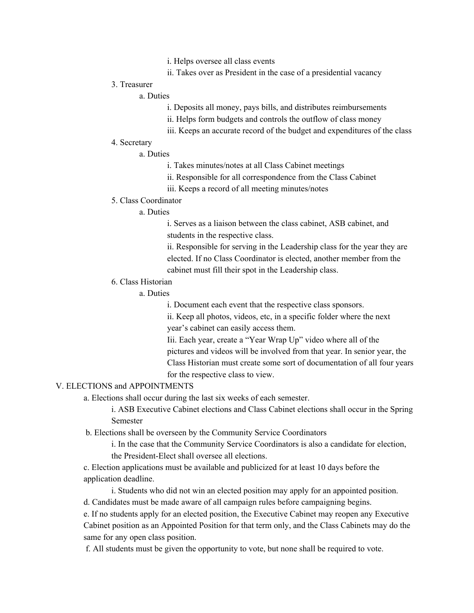- i. Helps oversee all class events
- ii. Takes over as President in the case of a presidential vacancy

### 3. Treasurer

## a. Duties

- i. Deposits all money, pays bills, and distributes reimbursements
- ii. Helps form budgets and controls the outflow of class money
- iii. Keeps an accurate record of the budget and expenditures of the class

## 4. Secretary

## a. Duties

- i. Takes minutes/notes at all Class Cabinet meetings
- ii. Responsible for all correspondence from the Class Cabinet
- iii. Keeps a record of all meeting minutes/notes

### 5. Class Coordinator

### a. Duties

i. Serves as a liaison between the class cabinet, ASB cabinet, and students in the respective class.

ii. Responsible for serving in the Leadership class for the year they are elected. If no Class Coordinator is elected, another member from the cabinet must fill their spot in the Leadership class.

# 6. Class Historian

# a. Duties

i. Document each event that the respective class sponsors.

ii. Keep all photos, videos, etc, in a specific folder where the next year's cabinet can easily access them.

Iii. Each year, create a "Year Wrap Up" video where all of the pictures and videos will be involved from that year. In senior year, the Class Historian must create some sort of documentation of all four years for the respective class to view.

## V. ELECTIONS and APPOINTMENTS

a. Elections shall occur during the last six weeks of each semester.

i. ASB Executive Cabinet elections and Class Cabinet elections shall occur in the Spring Semester

b. Elections shall be overseen by the Community Service Coordinators

i. In the case that the Community Service Coordinators is also a candidate for election, the President-Elect shall oversee all elections.

c. Election applications must be available and publicized for at least 10 days before the application deadline.

i. Students who did not win an elected position may apply for an appointed position.

d. Candidates must be made aware of all campaign rules before campaigning begins.

e. If no students apply for an elected position, the Executive Cabinet may reopen any Executive Cabinet position as an Appointed Position for that term only, and the Class Cabinets may do the same for any open class position.

f. All students must be given the opportunity to vote, but none shall be required to vote.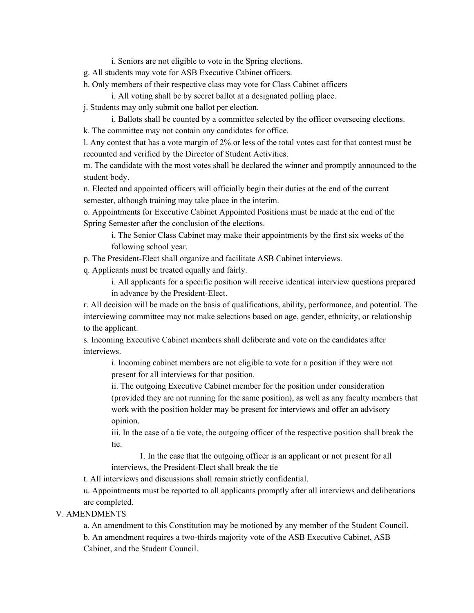i. Seniors are not eligible to vote in the Spring elections.

- g. All students may vote for ASB Executive Cabinet officers.
- h. Only members of their respective class may vote for Class Cabinet officers

i. All voting shall be by secret ballot at a designated polling place.

- j. Students may only submit one ballot per election.
- i. Ballots shall be counted by a committee selected by the officer overseeing elections. k. The committee may not contain any candidates for office.

l. Any contest that has a vote margin of 2% or less of the total votes cast for that contest must be recounted and verified by the Director of Student Activities.

m. The candidate with the most votes shall be declared the winner and promptly announced to the student body.

n. Elected and appointed officers will officially begin their duties at the end of the current semester, although training may take place in the interim.

o. Appointments for Executive Cabinet Appointed Positions must be made at the end of the Spring Semester after the conclusion of the elections.

i. The Senior Class Cabinet may make their appointments by the first six weeks of the following school year.

p. The President-Elect shall organize and facilitate ASB Cabinet interviews.

q. Applicants must be treated equally and fairly.

i. All applicants for a specific position will receive identical interview questions prepared in advance by the President-Elect.

r. All decision will be made on the basis of qualifications, ability, performance, and potential. The interviewing committee may not make selections based on age, gender, ethnicity, or relationship to the applicant.

s. Incoming Executive Cabinet members shall deliberate and vote on the candidates after interviews.

i. Incoming cabinet members are not eligible to vote for a position if they were not present for all interviews for that position.

ii. The outgoing Executive Cabinet member for the position under consideration (provided they are not running for the same position), as well as any faculty members that work with the position holder may be present for interviews and offer an advisory opinion.

iii. In the case of a tie vote, the outgoing officer of the respective position shall break the tie.

1. In the case that the outgoing officer is an applicant or not present for all interviews, the President-Elect shall break the tie

t. All interviews and discussions shall remain strictly confidential.

u. Appointments must be reported to all applicants promptly after all interviews and deliberations are completed.

## V. AMENDMENTS

a. An amendment to this Constitution may be motioned by any member of the Student Council. b. An amendment requires a two-thirds majority vote of the ASB Executive Cabinet, ASB Cabinet, and the Student Council.